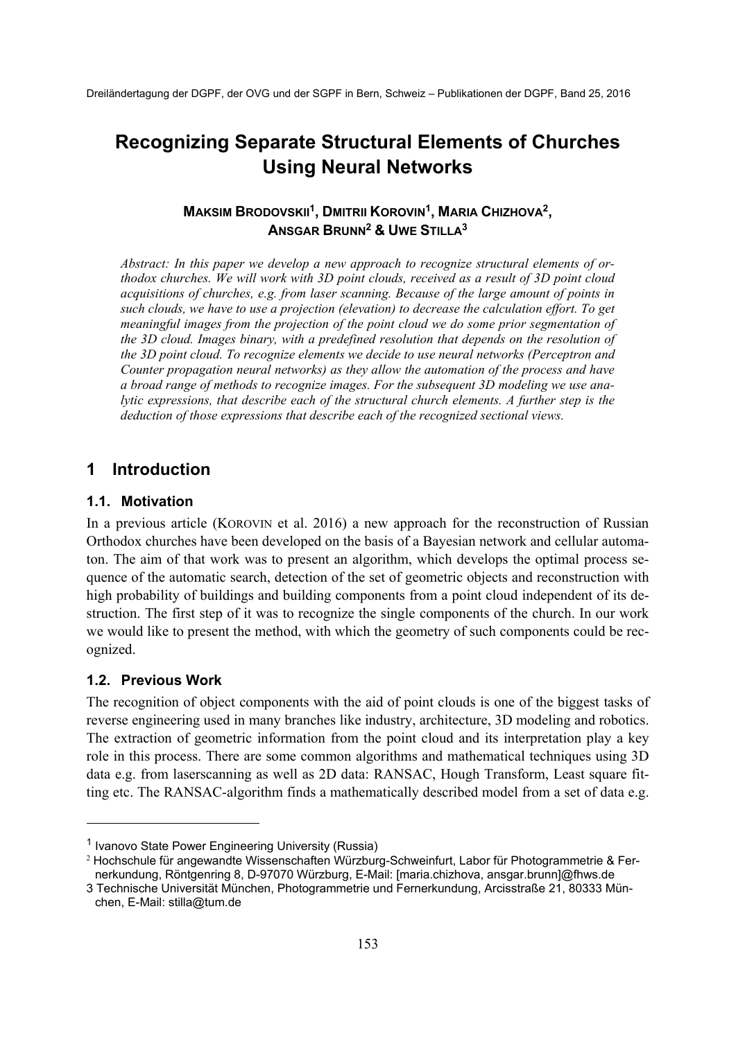# **Recognizing Separate Structural Elements of Churches Using Neural Networks**

# **MAKSIM BRODOVSKII1, DMITRII KOROVIN1, MARIA CHIZHOVA2, ANSGAR BRUNN2 & UWE STILLA3**

*Abstract: In this paper we develop a new approach to recognize structural elements of orthodox churches. We will work with 3D point clouds, received as a result of 3D point cloud acquisitions of churches, e.g. from laser scanning. Because of the large amount of points in such clouds, we have to use a projection (elevation) to decrease the calculation effort. To get meaningful images from the projection of the point cloud we do some prior segmentation of the 3D cloud. Images binary, with a predefined resolution that depends on the resolution of the 3D point cloud. To recognize elements we decide to use neural networks (Perceptron and Counter propagation neural networks) as they allow the automation of the process and have a broad range of methods to recognize images. For the subsequent 3D modeling we use analytic expressions, that describe each of the structural church elements. A further step is the deduction of those expressions that describe each of the recognized sectional views.* 

# **1 Introduction**

### **1.1. Motivation**

In a previous article (KOROVIN et al. 2016) a new approach for the reconstruction of Russian Orthodox churches have been developed on the basis of a Bayesian network and cellular automaton. The aim of that work was to present an algorithm, which develops the optimal process sequence of the automatic search, detection of the set of geometric objects and reconstruction with high probability of buildings and building components from a point cloud independent of its destruction. The first step of it was to recognize the single components of the church. In our work we would like to present the method, with which the geometry of such components could be recognized.

# **1.2. Previous Work**

1

The recognition of object components with the aid of point clouds is one of the biggest tasks of reverse engineering used in many branches like industry, architecture, 3D modeling and robotics. The extraction of geometric information from the point cloud and its interpretation play a key role in this process. There are some common algorithms and mathematical techniques using 3D data e.g. from laserscanning as well as 2D data: RANSAC, Hough Transform, Least square fitting etc. The RANSAC-algorithm finds a mathematically described model from a set of data e.g.

<sup>1</sup> Ivanovo State Power Engineering University (Russia)

<sup>2</sup> Hochschule für angewandte Wissenschaften Würzburg-Schweinfurt, Labor für Photogrammetrie & Fernerkundung, Röntgenring 8, D-97070 Würzburg, E-Mail: [maria.chizhova, ansgar.brunn]@fhws.de

<sup>3</sup> Technische Universität München, Photogrammetrie und Fernerkundung, Arcisstraße 21, 80333 München, E-Mail: stilla@tum.de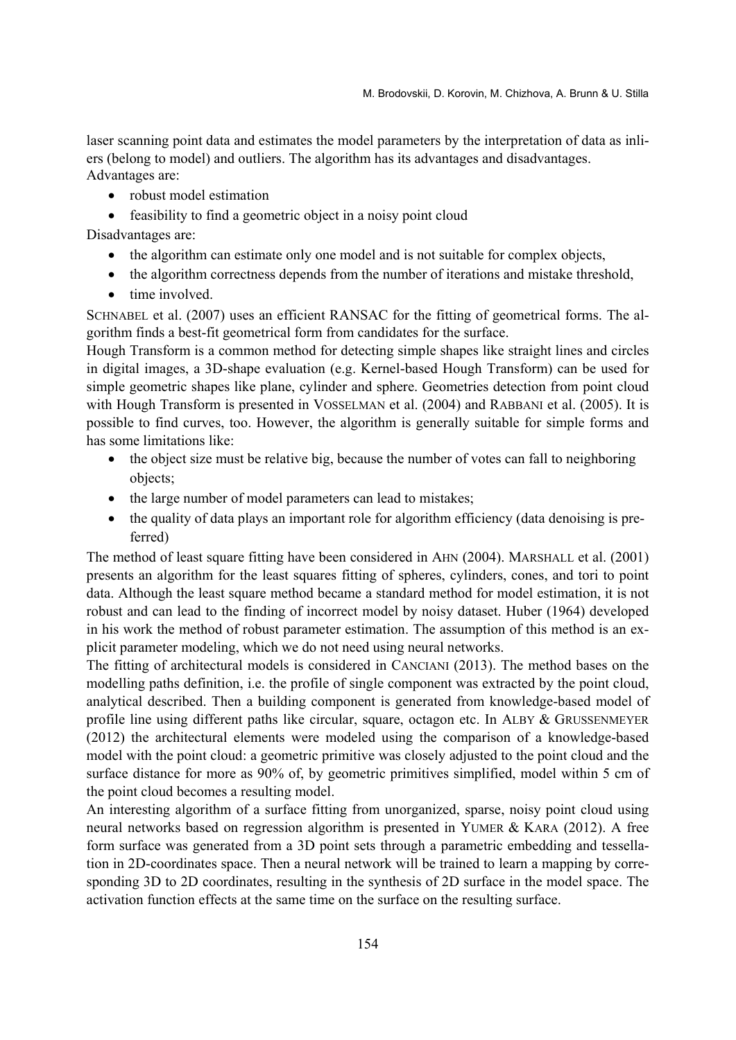laser scanning point data and estimates the model parameters by the interpretation of data as inliers (belong to model) and outliers. The algorithm has its advantages and disadvantages. Advantages are:

- robust model estimation
- feasibility to find a geometric object in a noisy point cloud

Disadvantages are:

- the algorithm can estimate only one model and is not suitable for complex objects,
- the algorithm correctness depends from the number of iterations and mistake threshold,
- $\bullet$  time involved.

SCHNABEL et al. (2007) uses an efficient RANSAC for the fitting of geometrical forms. The algorithm finds a best-fit geometrical form from candidates for the surface.

Hough Transform is a common method for detecting simple shapes like straight lines and circles in digital images, a 3D-shape evaluation (e.g. Kernel-based Hough Transform) can be used for simple geometric shapes like plane, cylinder and sphere. Geometries detection from point cloud with Hough Transform is presented in VOSSELMAN et al. (2004) and RABBANI et al. (2005). It is possible to find curves, too. However, the algorithm is generally suitable for simple forms and has some limitations like:

- the object size must be relative big, because the number of votes can fall to neighboring objects;
- the large number of model parameters can lead to mistakes;
- the quality of data plays an important role for algorithm efficiency (data denoising is preferred)

The method of least square fitting have been considered in AHN (2004). MARSHALL et al. (2001) presents an algorithm for the least squares fitting of spheres, cylinders, cones, and tori to point data. Although the least square method became a standard method for model estimation, it is not robust and can lead to the finding of incorrect model by noisy dataset. Huber (1964) developed in his work the method of robust parameter estimation. The assumption of this method is an explicit parameter modeling, which we do not need using neural networks.

The fitting of architectural models is considered in CANCIANI (2013). The method bases on the modelling paths definition, i.e. the profile of single component was extracted by the point cloud, analytical described. Then a building component is generated from knowledge-based model of profile line using different paths like circular, square, octagon etc. In ALBY & GRUSSENMEYER (2012) the architectural elements were modeled using the comparison of a knowledge-based model with the point cloud: a geometric primitive was closely adjusted to the point cloud and the surface distance for more as 90% of, by geometric primitives simplified, model within 5 cm of the point cloud becomes a resulting model.

An interesting algorithm of a surface fitting from unorganized, sparse, noisy point cloud using neural networks based on regression algorithm is presented in YUMER & KARA (2012). A free form surface was generated from a 3D point sets through a parametric embedding and tessellation in 2D-coordinates space. Then a neural network will be trained to learn a mapping by corresponding 3D to 2D coordinates, resulting in the synthesis of 2D surface in the model space. The activation function effects at the same time on the surface on the resulting surface.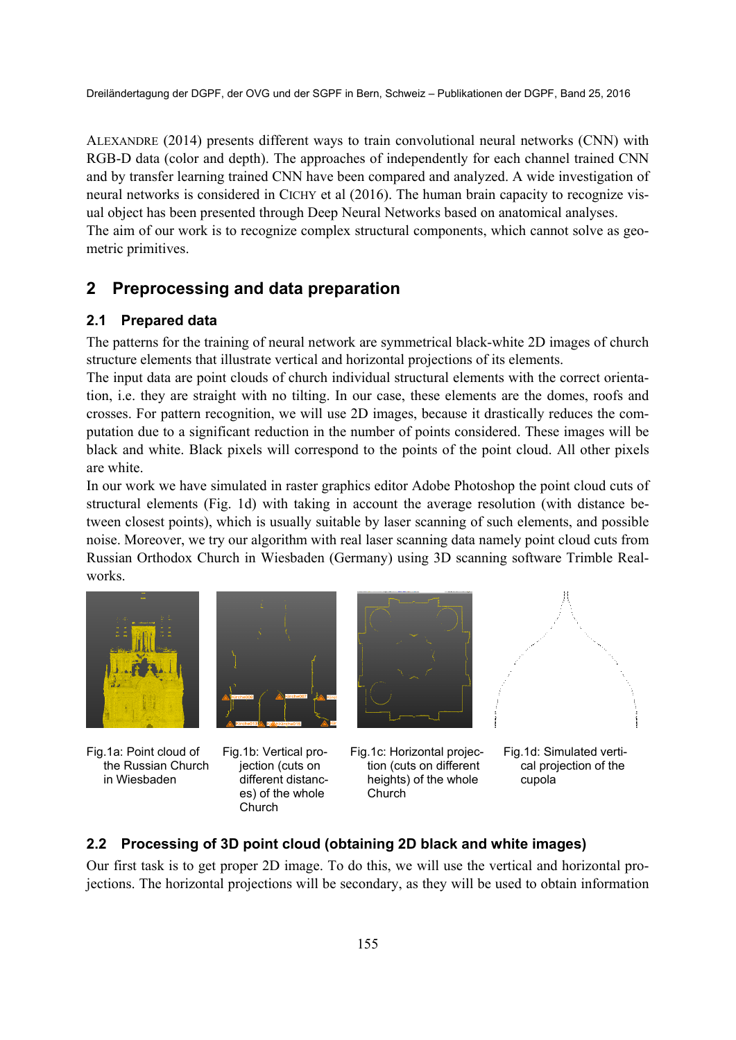ALEXANDRE (2014) presents different ways to train convolutional neural networks (CNN) with RGB-D data (color and depth). The approaches of independently for each channel trained CNN and by transfer learning trained CNN have been compared and analyzed. A wide investigation of neural networks is considered in CICHY et al (2016). The human brain capacity to recognize visual object has been presented through Deep Neural Networks based on anatomical analyses. The aim of our work is to recognize complex structural components, which cannot solve as geometric primitives.

# **2 Preprocessing and data preparation**

### **2.1 Prepared data**

The patterns for the training of neural network are symmetrical black-white 2D images of church structure elements that illustrate vertical and horizontal projections of its elements.

The input data are point clouds of church individual structural elements with the correct orientation, i.e. they are straight with no tilting. In our case, these elements are the domes, roofs and crosses. For pattern recognition, we will use 2D images, because it drastically reduces the computation due to a significant reduction in the number of points considered. These images will be black and white. Black pixels will correspond to the points of the point cloud. All other pixels are white.

In our work we have simulated in raster graphics editor Adobe Photoshop the point cloud cuts of structural elements (Fig. 1d) with taking in account the average resolution (with distance between closest points), which is usually suitable by laser scanning of such elements, and possible noise. Moreover, we try our algorithm with real laser scanning data namely point cloud cuts from Russian Orthodox Church in Wiesbaden (Germany) using 3D scanning software Trimble Realworks.



Fig.1a: Point cloud of the Russian Church in Wiesbaden



Fig.1b: Vertical projection (cuts on different distances) of the whole **Church** 



Fig.1c: Horizontal projection (cuts on different heights) of the whole Church



Fig.1d: Simulated vertical projection of the cupola

### **2.2 Processing of 3D point cloud (obtaining 2D black and white images)**

Our first task is to get proper 2D image. To do this, we will use the vertical and horizontal projections. The horizontal projections will be secondary, as they will be used to obtain information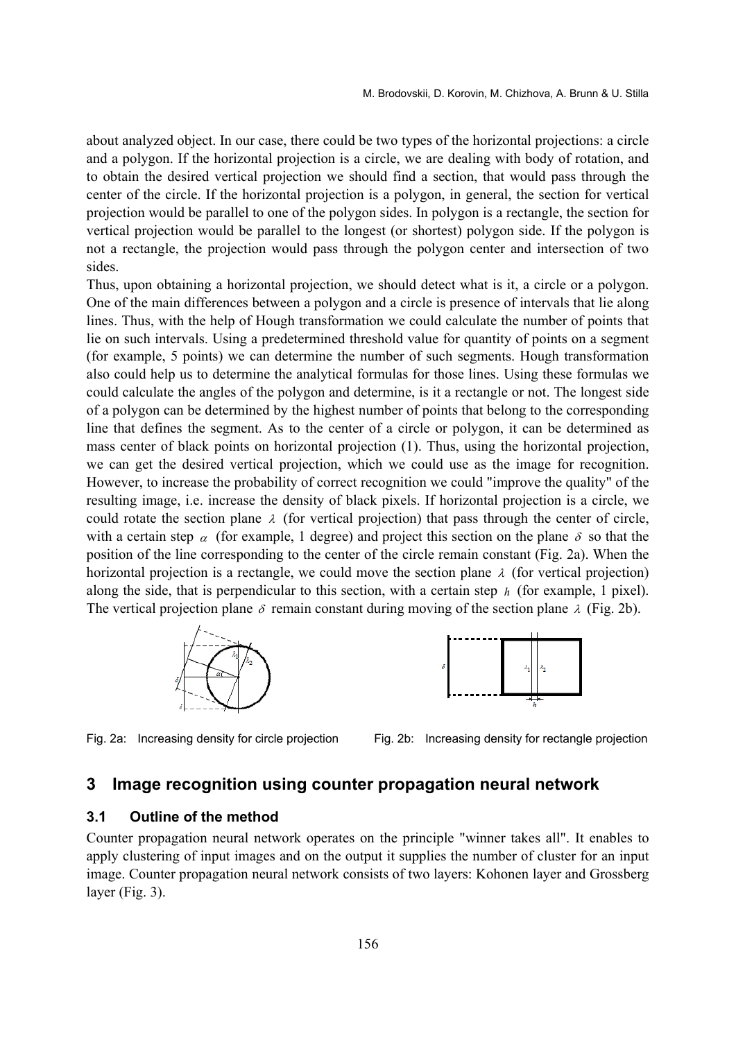about analyzed object. In our case, there could be two types of the horizontal projections: a circle and a polygon. If the horizontal projection is a circle, we are dealing with body of rotation, and to obtain the desired vertical projection we should find a section, that would pass through the center of the circle. If the horizontal projection is a polygon, in general, the section for vertical projection would be parallel to one of the polygon sides. In polygon is a rectangle, the section for vertical projection would be parallel to the longest (or shortest) polygon side. If the polygon is not a rectangle, the projection would pass through the polygon center and intersection of two sides.

Thus, upon obtaining a horizontal projection, we should detect what is it, a circle or a polygon. One of the main differences between a polygon and a circle is presence of intervals that lie along lines. Thus, with the help of Hough transformation we could calculate the number of points that lie on such intervals. Using a predetermined threshold value for quantity of points on a segment (for example, 5 points) we can determine the number of such segments. Hough transformation also could help us to determine the analytical formulas for those lines. Using these formulas we could calculate the angles of the polygon and determine, is it a rectangle or not. The longest side of a polygon can be determined by the highest number of points that belong to the corresponding line that defines the segment. As to the center of a circle or polygon, it can be determined as mass center of black points on horizontal projection (1). Thus, using the horizontal projection, we can get the desired vertical projection, which we could use as the image for recognition. However, to increase the probability of correct recognition we could "improve the quality" of the resulting image, i.e. increase the density of black pixels. If horizontal projection is a circle, we could rotate the section plane  $\lambda$  (for vertical projection) that pass through the center of circle, with a certain step  $\alpha$  (for example, 1 degree) and project this section on the plane  $\delta$  so that the position of the line corresponding to the center of the circle remain constant (Fig. 2a). When the horizontal projection is a rectangle, we could move the section plane  $\lambda$  (for vertical projection) along the side, that is perpendicular to this section, with a certain step *h* (for example, 1 pixel). The vertical projection plane  $\delta$  remain constant during moving of the section plane  $\lambda$  (Fig. 2b).





Fig. 2a: Increasing density for circle projection Fig. 2b: Increasing density for rectangle projection

# **3 Image recognition using counter propagation neural network**

### **3.1 Outline of the method**

Counter propagation neural network operates on the principle "winner takes all". It enables to apply clustering of input images and on the output it supplies the number of cluster for an input image. Counter propagation neural network consists of two layers: Kohonen layer and Grossberg layer (Fig. 3).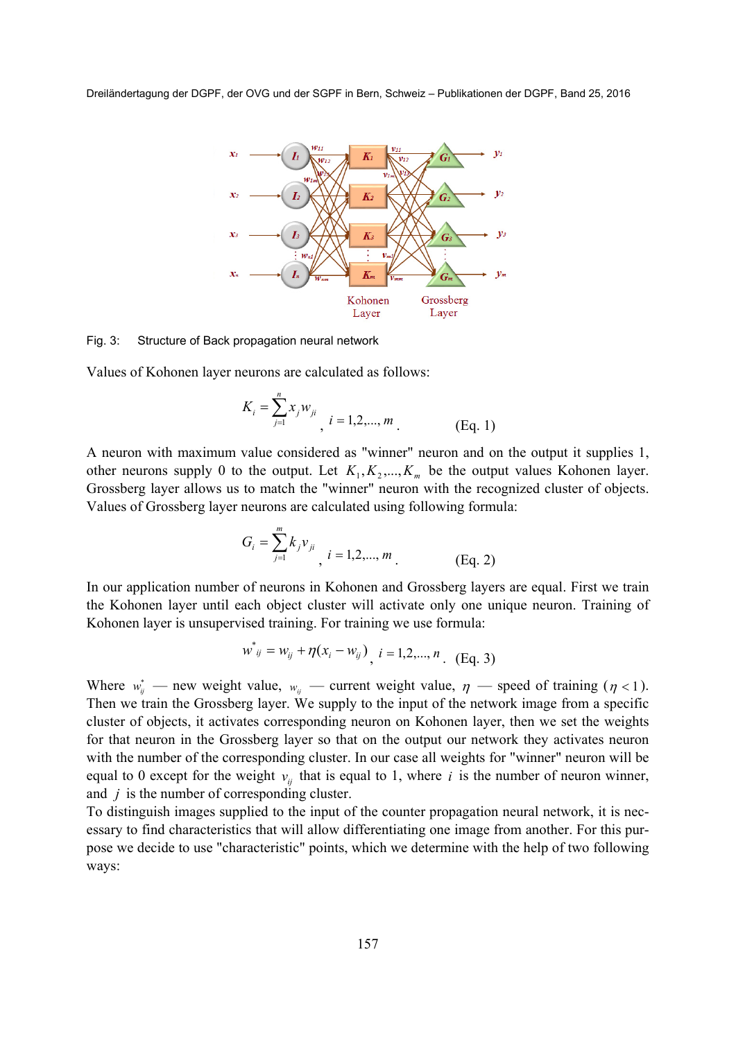

#### Fig. 3: Structure of Back propagation neural network

Values of Kohonen layer neurons are calculated as follows:

$$
K_i = \sum_{j=1}^{n} x_j w_{ji}, \quad i = 1, 2, ..., m
$$
 (Eq. 1)

A neuron with maximum value considered as "winner" neuron and on the output it supplies 1, other neurons supply 0 to the output. Let  $K_1, K_2, ..., K_m$  be the output values Kohonen layer. Grossberg layer allows us to match the "winner" neuron with the recognized cluster of objects. Values of Grossberg layer neurons are calculated using following formula:

$$
G_i = \sum_{j=1}^{m} k_j v_{ji} \, i = 1, 2, ..., m \, \tag{Eq. 2}
$$

In our application number of neurons in Kohonen and Grossberg layers are equal. First we train the Kohonen layer until each object cluster will activate only one unique neuron. Training of Kohonen layer is unsupervised training. For training we use formula:

$$
w^*_{ij} = w_{ij} + \eta (x_i - w_{ij})_{i} \quad i = 1, 2, ..., n \quad (Eq. 3)
$$

Where  $w_{ij}^*$  — new weight value,  $w_{ij}$  — current weight value,  $\eta$  — speed of training ( $\eta$  < 1). Then we train the Grossberg layer. We supply to the input of the network image from a specific cluster of objects, it activates corresponding neuron on Kohonen layer, then we set the weights for that neuron in the Grossberg layer so that on the output our network they activates neuron with the number of the corresponding cluster. In our case all weights for "winner" neuron will be equal to 0 except for the weight  $v_{ij}$  that is equal to 1, where *i* is the number of neuron winner, and *j* is the number of corresponding cluster.

To distinguish images supplied to the input of the counter propagation neural network, it is necessary to find characteristics that will allow differentiating one image from another. For this purpose we decide to use "characteristic" points, which we determine with the help of two following ways: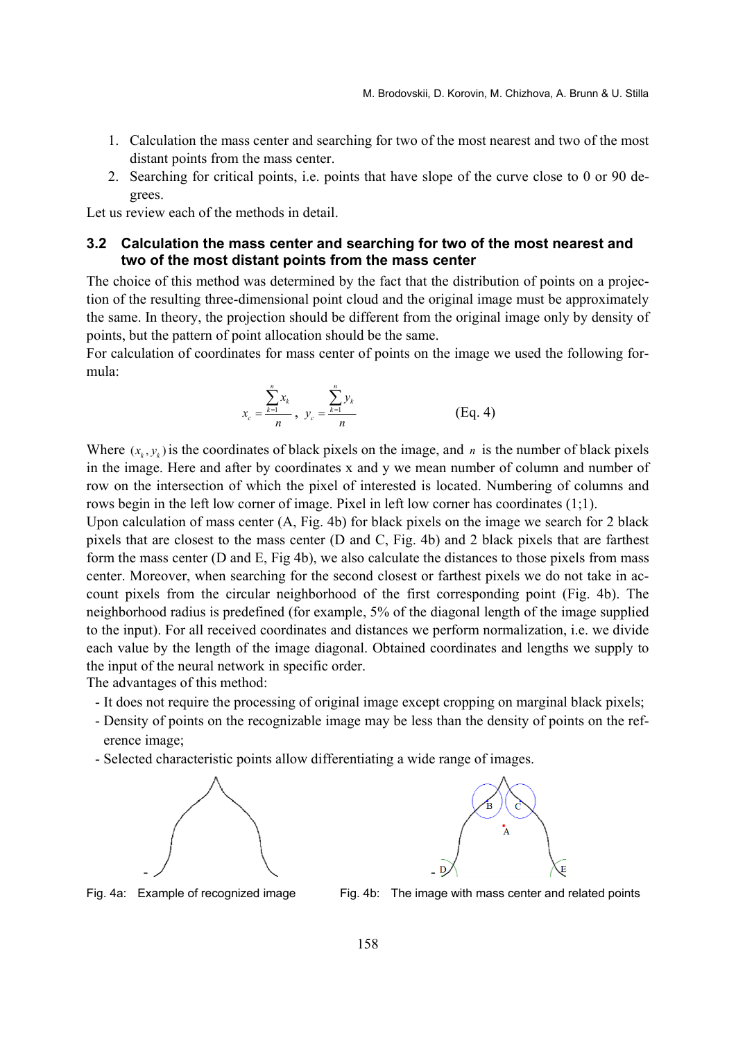- 1. Calculation the mass center and searching for two of the most nearest and two of the most distant points from the mass center.
- 2. Searching for critical points, i.e. points that have slope of the curve close to 0 or 90 degrees.

Let us review each of the methods in detail.

### **3.2 Calculation the mass center and searching for two of the most nearest and two of the most distant points from the mass center**

The choice of this method was determined by the fact that the distribution of points on a projection of the resulting three-dimensional point cloud and the original image must be approximately the same. In theory, the projection should be different from the original image only by density of points, but the pattern of point allocation should be the same.

For calculation of coordinates for mass center of points on the image we used the following formula:

$$
x_c = \frac{\sum_{k=1}^{n} x_k}{n}, \ \ y_c = \frac{\sum_{k=1}^{n} y_k}{n}
$$
 (Eq. 4)

Where  $(x_k, y_k)$  is the coordinates of black pixels on the image, and *n* is the number of black pixels in the image. Here and after by coordinates x and y we mean number of column and number of row on the intersection of which the pixel of interested is located. Numbering of columns and rows begin in the left low corner of image. Pixel in left low corner has coordinates (1;1).

Upon calculation of mass center (A, Fig. 4b) for black pixels on the image we search for 2 black pixels that are closest to the mass center (D and C, Fig. 4b) and 2 black pixels that are farthest form the mass center (D and E, Fig 4b), we also calculate the distances to those pixels from mass center. Moreover, when searching for the second closest or farthest pixels we do not take in account pixels from the circular neighborhood of the first corresponding point (Fig. 4b). The neighborhood radius is predefined (for example, 5% of the diagonal length of the image supplied to the input). For all received coordinates and distances we perform normalization, i.e. we divide each value by the length of the image diagonal. Obtained coordinates and lengths we supply to the input of the neural network in specific order.

The advantages of this method:

- It does not require the processing of original image except cropping on marginal black pixels;
- Density of points on the recognizable image may be less than the density of points on the reference image;
- Selected characteristic points allow differentiating a wide range of images.





Fig. 4a: Example of recognized image Fig. 4b: The image with mass center and related points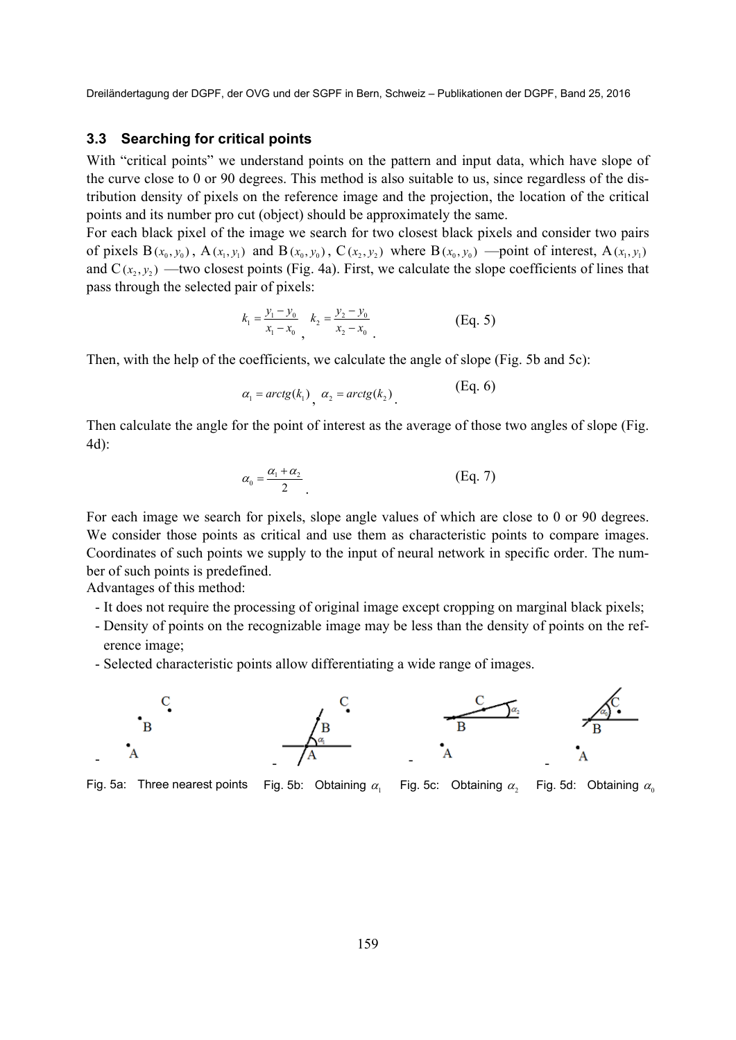#### **3.3 Searching for critical points**

With "critical points" we understand points on the pattern and input data, which have slope of the curve close to 0 or 90 degrees. This method is also suitable to us, since regardless of the distribution density of pixels on the reference image and the projection, the location of the critical points and its number pro cut (object) should be approximately the same.

For each black pixel of the image we search for two closest black pixels and consider two pairs of pixels  $B(x_0, y_0)$ ,  $A(x_1, y_1)$  and  $B(x_0, y_0)$ ,  $C(x_2, y_2)$  where  $B(x_0, y_0)$  —point of interest,  $A(x_1, y_1)$ and  $C(x_2, y_2)$  —two closest points (Fig. 4a). First, we calculate the slope coefficients of lines that pass through the selected pair of pixels:

$$
k_1 = \frac{y_1 - y_0}{x_1 - x_0}, \quad k_2 = \frac{y_2 - y_0}{x_2 - x_0} \tag{Eq. 5}
$$

Then, with the help of the coefficients, we calculate the angle of slope (Fig. 5b and 5c):

$$
\alpha_1 = \arctg(k_1), \ \alpha_2 = \arctg(k_2)
$$
 (Eq. 6)

Then calculate the angle for the point of interest as the average of those two angles of slope (Fig. 4d):

$$
\alpha_0 = \frac{\alpha_1 + \alpha_2}{2} \tag{Eq. 7}
$$

For each image we search for pixels, slope angle values of which are close to 0 or 90 degrees. We consider those points as critical and use them as characteristic points to compare images. Coordinates of such points we supply to the input of neural network in specific order. The number of such points is predefined.

Advantages of this method:

- It does not require the processing of original image except cropping on marginal black pixels;
- Density of points on the recognizable image may be less than the density of points on the reference image;
- Selected characteristic points allow differentiating a wide range of images.



Fig. 5a: Three nearest points Fig. 5b: Obtaining  $\alpha_1$  Fig. 5c: Obtaining  $\alpha_2$  Fig. 5d: Obtaining  $\alpha_0$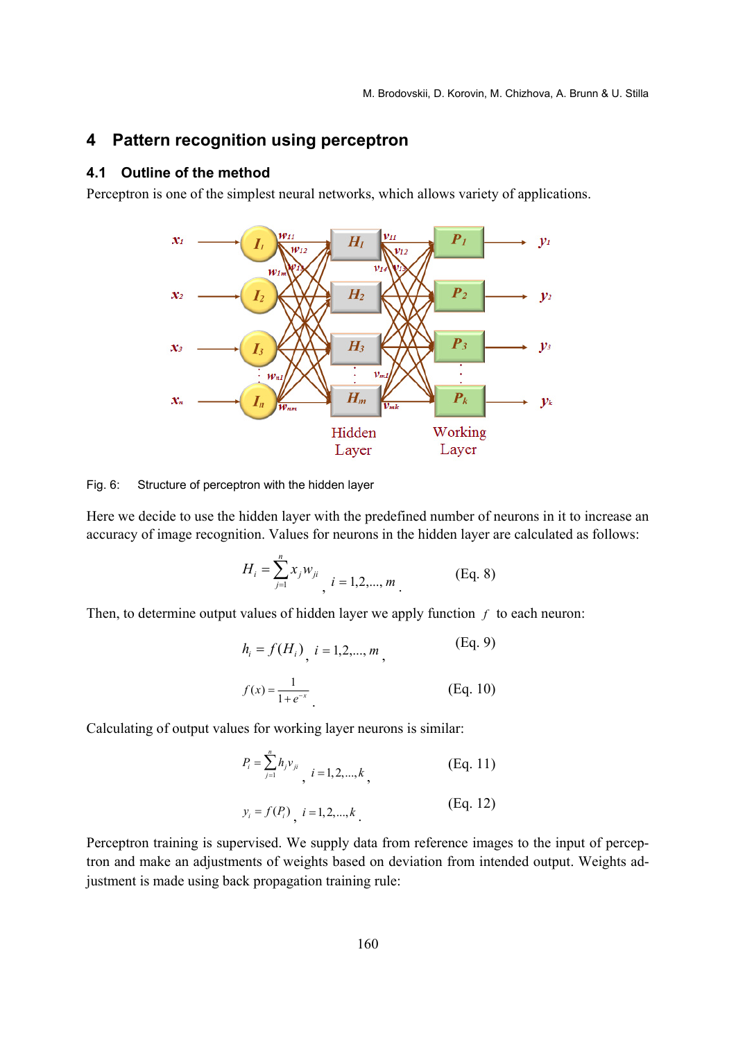# **4 Pattern recognition using perceptron**

### **4.1 Outline of the method**

Perceptron is one of the simplest neural networks, which allows variety of applications.



Fig. 6: Structure of perceptron with the hidden layer

Here we decide to use the hidden layer with the predefined number of neurons in it to increase an accuracy of image recognition. Values for neurons in the hidden layer are calculated as follows:

$$
H_i = \sum_{j=1}^{n} x_j w_{ji}, \quad i = 1, 2, ..., m
$$
 (Eq. 8)

Then, to determine output values of hidden layer we apply function *f* to each neuron:

$$
h_i = f(H_i) \quad i = 1, 2, ..., m \tag{Eq. 9}
$$
\n
$$
f(x) = \frac{1}{1 + e^{-x}} \tag{Eq. 10}
$$

Calculating of output values for working layer neurons is similar:

$$
P_i = \sum_{j=1}^{n} h_j v_{ji}, \quad i = 1, 2, ..., k,
$$
 (Eq. 11)

$$
y_i = f(P_i) \quad i = 1, 2, ..., k
$$
 (Eq. 12)

Perceptron training is supervised. We supply data from reference images to the input of perceptron and make an adjustments of weights based on deviation from intended output. Weights adjustment is made using back propagation training rule: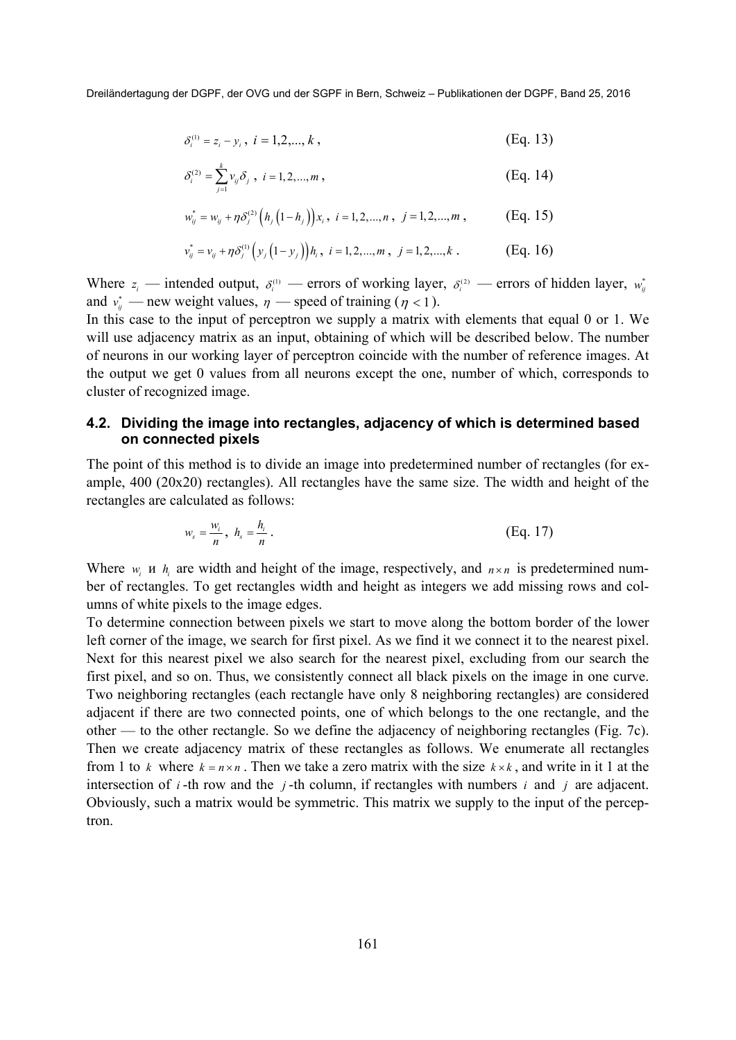$$
\delta_i^{(1)} = z_i - y_i, \ i = 1, 2, \dots, k \,, \tag{Eq. 13}
$$

$$
\delta_i^{(2)} = \sum_{j=1}^k \nu_{ij} \delta_j \, , \, i = 1, 2, ..., m \, , \tag{Eq. 14}
$$

$$
w_{ij}^* = w_{ij} + \eta \delta_j^{(2)} \left( h_j \left( 1 - h_j \right) \right) x_i, \ i = 1, 2, ..., n, \ j = 1, 2, ..., m,
$$
 (Eq. 15)

$$
v_{ij}^* = v_{ij} + \eta \delta_j^{(1)} \left( y_j \left( 1 - y_j \right) \right) h_i, \ i = 1, 2, ..., m, \ j = 1, 2, ..., k. \tag{Eq. 16}
$$

Where  $z_i$  — intended output,  $\delta_i^{(1)}$  — errors of working layer,  $\delta_i^{(2)}$  — errors of hidden layer,  $w_i^*$ and  $v_{ij}^*$  — new weight values,  $\eta$  — speed of training ( $\eta$  < 1).

In this case to the input of perceptron we supply a matrix with elements that equal 0 or 1. We will use adjacency matrix as an input, obtaining of which will be described below. The number of neurons in our working layer of perceptron coincide with the number of reference images. At the output we get 0 values from all neurons except the one, number of which, corresponds to cluster of recognized image.

### **4.2. Dividing the image into rectangles, adjacency of which is determined based on connected pixels**

The point of this method is to divide an image into predetermined number of rectangles (for example, 400 (20x20) rectangles). All rectangles have the same size. The width and height of the rectangles are calculated as follows:

$$
w_s = \frac{w_i}{n}, \quad h_s = \frac{h_i}{n} \tag{Eq. 17}
$$

Where  $w_i$  *u*  $h_i$  are width and height of the image, respectively, and  $n \times n$  is predetermined number of rectangles. To get rectangles width and height as integers we add missing rows and columns of white pixels to the image edges.

To determine connection between pixels we start to move along the bottom border of the lower left corner of the image, we search for first pixel. As we find it we connect it to the nearest pixel. Next for this nearest pixel we also search for the nearest pixel, excluding from our search the first pixel, and so on. Thus, we consistently connect all black pixels on the image in one curve. Two neighboring rectangles (each rectangle have only 8 neighboring rectangles) are considered adjacent if there are two connected points, one of which belongs to the one rectangle, and the other — to the other rectangle. So we define the adjacency of neighboring rectangles (Fig. 7c). Then we create adjacency matrix of these rectangles as follows. We enumerate all rectangles from 1 to *k* where  $k = n \times n$ . Then we take a zero matrix with the size  $k \times k$ , and write in it 1 at the intersection of  $i$ -th row and the  $j$ -th column, if rectangles with numbers  $i$  and  $j$  are adjacent. Obviously, such a matrix would be symmetric. This matrix we supply to the input of the perceptron.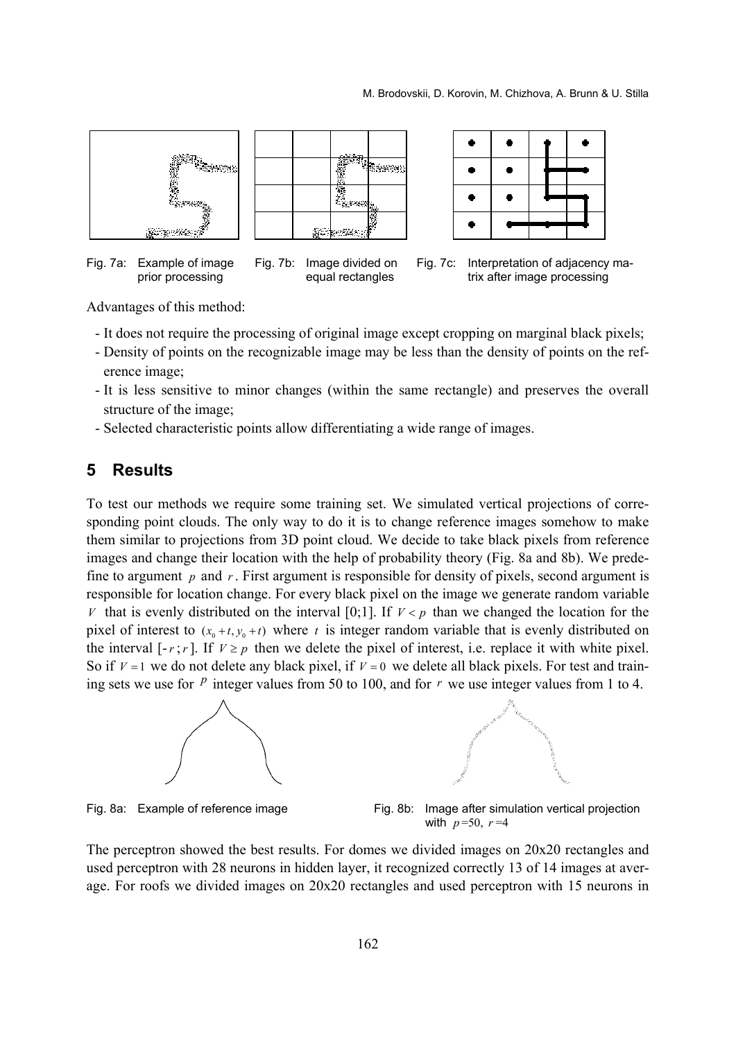

Advantages of this method:

- It does not require the processing of original image except cropping on marginal black pixels;
- Density of points on the recognizable image may be less than the density of points on the reference image;
- It is less sensitive to minor changes (within the same rectangle) and preserves the overall structure of the image;
- Selected characteristic points allow differentiating a wide range of images.

### **5 Results**

To test our methods we require some training set. We simulated vertical projections of corresponding point clouds. The only way to do it is to change reference images somehow to make them similar to projections from 3D point cloud. We decide to take black pixels from reference images and change their location with the help of probability theory (Fig. 8a and 8b). We predefine to argument *p* and *r* . First argument is responsible for density of pixels, second argument is responsible for location change. For every black pixel on the image we generate random variable *V* that is evenly distributed on the interval [0;1]. If  $V < p$  than we changed the location for the pixel of interest to  $(x_0 + t, y_0 + t)$  where *t* is integer random variable that is evenly distributed on the interval  $[-r; r]$ . If  $V \geq p$  then we delete the pixel of interest, i.e. replace it with white pixel. So if  $V = 1$  we do not delete any black pixel, if  $V = 0$  we delete all black pixels. For test and training sets we use for  $\frac{p}{q}$  integer values from 50 to 100, and for  $r$  we use integer values from 1 to 4.





Fig. 8a: Example of reference image Fig. 8b: Image after simulation vertical projection with  $p = 50$ ,  $r = 4$ 

The perceptron showed the best results. For domes we divided images on 20x20 rectangles and used perceptron with 28 neurons in hidden layer, it recognized correctly 13 of 14 images at average. For roofs we divided images on 20x20 rectangles and used perceptron with 15 neurons in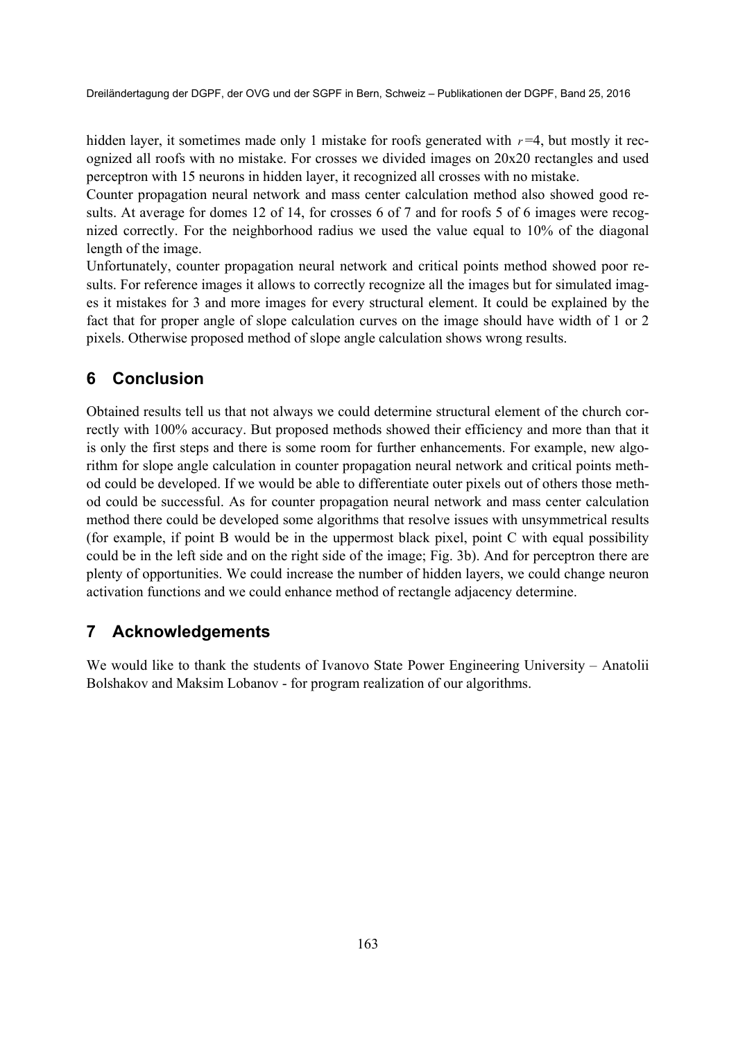hidden layer, it sometimes made only 1 mistake for roofs generated with  $r=4$ , but mostly it recognized all roofs with no mistake. For crosses we divided images on 20x20 rectangles and used perceptron with 15 neurons in hidden layer, it recognized all crosses with no mistake.

Counter propagation neural network and mass center calculation method also showed good results. At average for domes 12 of 14, for crosses 6 of 7 and for roofs 5 of 6 images were recognized correctly. For the neighborhood radius we used the value equal to 10% of the diagonal length of the image.

Unfortunately, counter propagation neural network and critical points method showed poor results. For reference images it allows to correctly recognize all the images but for simulated images it mistakes for 3 and more images for every structural element. It could be explained by the fact that for proper angle of slope calculation curves on the image should have width of 1 or 2 pixels. Otherwise proposed method of slope angle calculation shows wrong results.

# **6 Conclusion**

Obtained results tell us that not always we could determine structural element of the church correctly with 100% accuracy. But proposed methods showed their efficiency and more than that it is only the first steps and there is some room for further enhancements. For example, new algorithm for slope angle calculation in counter propagation neural network and critical points method could be developed. If we would be able to differentiate outer pixels out of others those method could be successful. As for counter propagation neural network and mass center calculation method there could be developed some algorithms that resolve issues with unsymmetrical results (for example, if point B would be in the uppermost black pixel, point C with equal possibility could be in the left side and on the right side of the image; Fig. 3b). And for perceptron there are plenty of opportunities. We could increase the number of hidden layers, we could change neuron activation functions and we could enhance method of rectangle adjacency determine.

# **7 Acknowledgements**

We would like to thank the students of Ivanovo State Power Engineering University – Anatolii Bolshakov and Maksim Lobanov - for program realization of our algorithms.